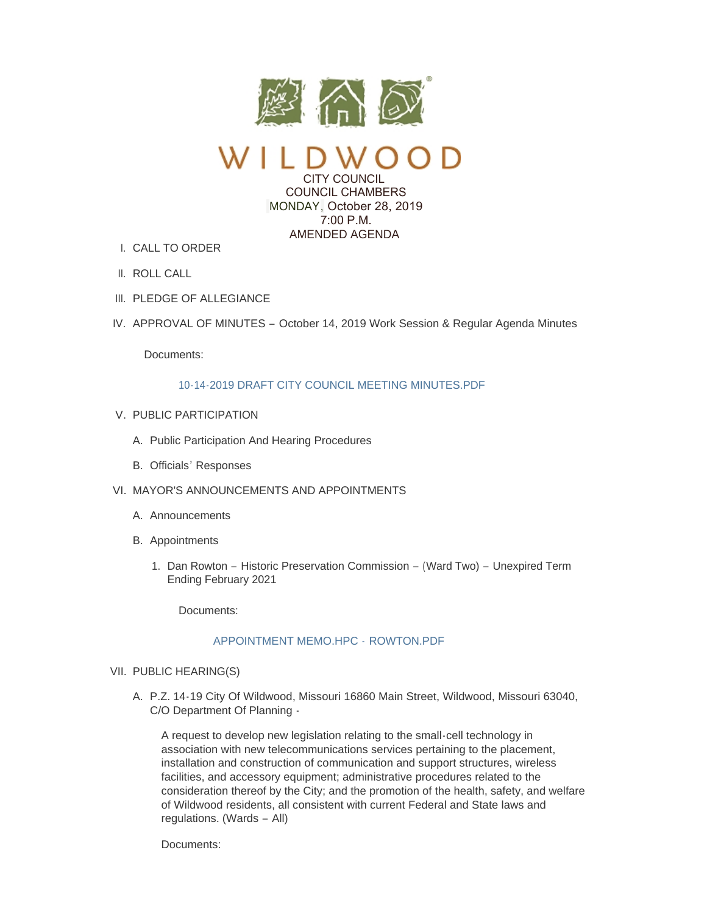

CITY COUNCIL COUNCIL CHAMBERS MONDAY, October 28, 2019  $7:00 \text{ P M}$ AMENDED AGENDA

- CALL TO ORDER I.
- II. ROLL CALL
- III. PLEDGE OF ALLEGIANCE
- IV. APPROVAL OF MINUTES October 14, 2019 Work Session & Regular Agenda Minutes

Documents:

## [10-14-2019 DRAFT CITY COUNCIL MEETING MINUTES.PDF](https://www.cityofwildwood.com/AgendaCenter/ViewFile/Item/22662?fileID=28102)

- V. PUBLIC PARTICIPATION
	- A. Public Participation And Hearing Procedures
	- B. Officials' Responses
- VI. MAYOR'S ANNOUNCEMENTS AND APPOINTMENTS
	- A. Announcements
	- B. Appointments
		- 1. Dan Rowton Historic Preservation Commission (Ward Two) Unexpired Term Ending February 2021

Documents:

# [APPOINTMENT MEMO.HPC -](https://www.cityofwildwood.com/AgendaCenter/ViewFile/Item/22719?fileID=28124) ROWTON.PDF

### VII. PUBLIC HEARING(S)

A. P.Z. 14-19 City Of Wildwood, Missouri 16860 Main Street, Wildwood, Missouri 63040, C/O Department Of Planning -

A request to develop new legislation relating to the small-cell technology in association with new telecommunications services pertaining to the placement, installation and construction of communication and support structures, wireless facilities, and accessory equipment; administrative procedures related to the consideration thereof by the City; and the promotion of the health, safety, and welfare of Wildwood residents, all consistent with current Federal and State laws and regulations. (Wards – All)

Documents: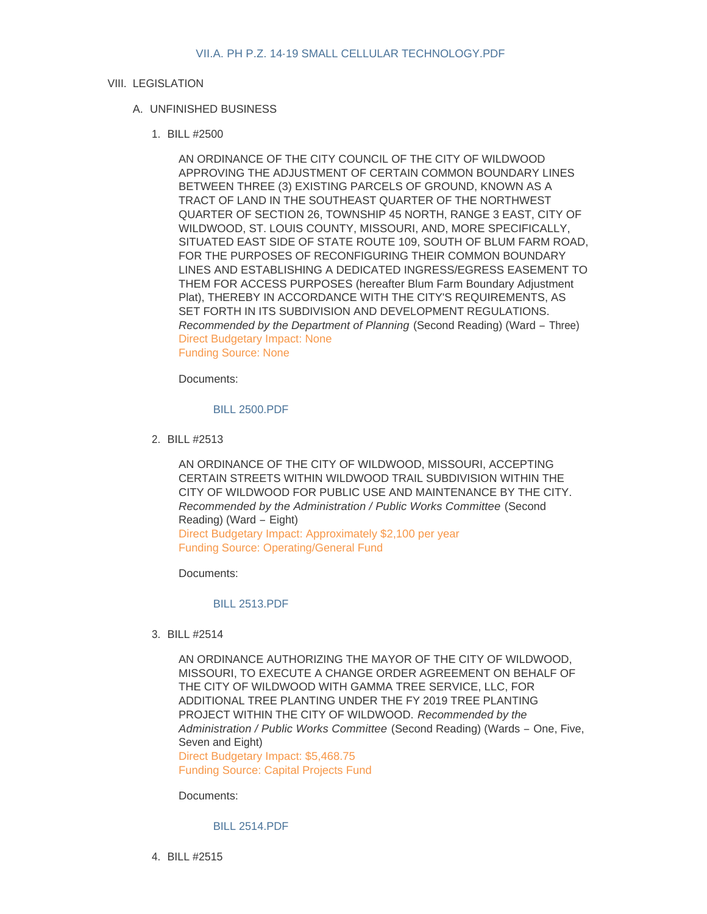### VIII. LEGISLATION

## UNFINISHED BUSINESS A.

BILL #2500 1.

AN ORDINANCE OF THE CITY COUNCIL OF THE CITY OF WILDWOOD APPROVING THE ADJUSTMENT OF CERTAIN COMMON BOUNDARY LINES BETWEEN THREE (3) EXISTING PARCELS OF GROUND, KNOWN AS A TRACT OF LAND IN THE SOUTHEAST QUARTER OF THE NORTHWEST QUARTER OF SECTION 26, TOWNSHIP 45 NORTH, RANGE 3 EAST, CITY OF WILDWOOD, ST. LOUIS COUNTY, MISSOURI, AND, MORE SPECIFICALLY, SITUATED EAST SIDE OF STATE ROUTE 109, SOUTH OF BLUM FARM ROAD, FOR THE PURPOSES OF RECONFIGURING THEIR COMMON BOUNDARY LINES AND ESTABLISHING A DEDICATED INGRESS/EGRESS EASEMENT TO THEM FOR ACCESS PURPOSES (hereafter Blum Farm Boundary Adjustment Plat), THEREBY IN ACCORDANCE WITH THE CITY'S REQUIREMENTS, AS SET FORTH IN ITS SUBDIVISION AND DEVELOPMENT REGULATIONS. *Recommended by the Department of Planning* (Second Reading) (Ward – Three) Direct Budgetary Impact: None Funding Source: None

Documents:

#### [BILL 2500.PDF](https://www.cityofwildwood.com/AgendaCenter/ViewFile/Item/22647?fileID=28092)

BILL #2513 2.

AN ORDINANCE OF THE CITY OF WILDWOOD, MISSOURI, ACCEPTING CERTAIN STREETS WITHIN WILDWOOD TRAIL SUBDIVISION WITHIN THE CITY OF WILDWOOD FOR PUBLIC USE AND MAINTENANCE BY THE CITY. *Recommended by the Administration / Public Works Committee* (Second Reading) (Ward – Eight) Direct Budgetary Impact: Approximately \$2,100 per year Funding Source: Operating/General Fund

Documents:

## [BILL 2513.PDF](https://www.cityofwildwood.com/AgendaCenter/ViewFile/Item/22678?fileID=28109)

BILL #2514 3.

AN ORDINANCE AUTHORIZING THE MAYOR OF THE CITY OF WILDWOOD, MISSOURI, TO EXECUTE A CHANGE ORDER AGREEMENT ON BEHALF OF THE CITY OF WILDWOOD WITH GAMMA TREE SERVICE, LLC, FOR ADDITIONAL TREE PLANTING UNDER THE FY 2019 TREE PLANTING PROJECT WITHIN THE CITY OF WILDWOOD. *Recommended by the Administration / Public Works Committee* (Second Reading) (Wards – One, Five, Seven and Eight)

Direct Budgetary Impact: \$5,468.75 Funding Source: Capital Projects Fund

Documents:

#### [BILL 2514.PDF](https://www.cityofwildwood.com/AgendaCenter/ViewFile/Item/22679?fileID=28110)

BILL #2515 4.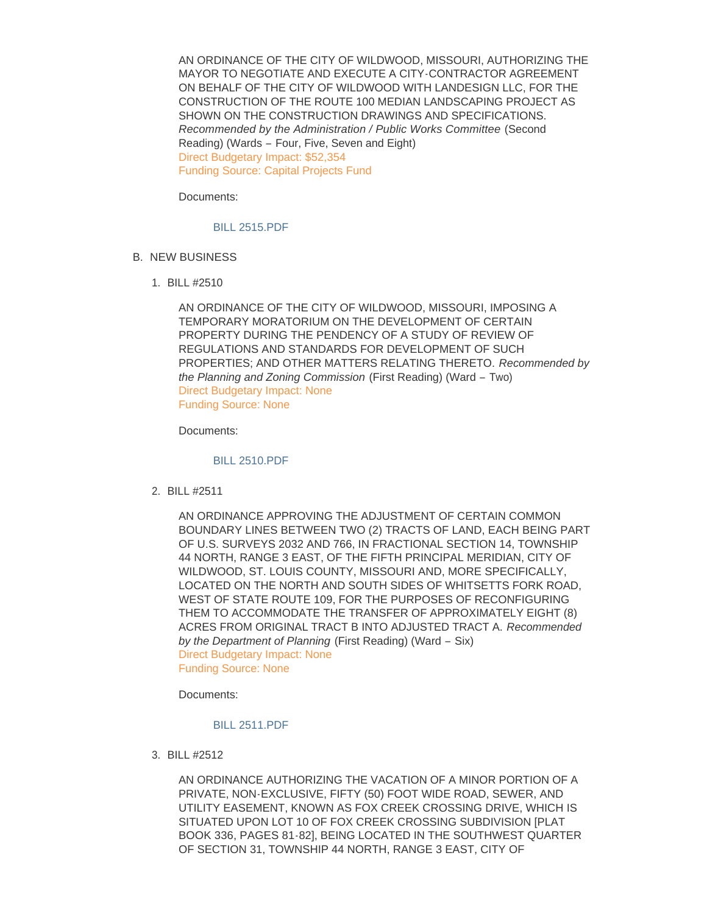AN ORDINANCE OF THE CITY OF WILDWOOD, MISSOURI, AUTHORIZING THE MAYOR TO NEGOTIATE AND EXECUTE A CITY-CONTRACTOR AGREEMENT ON BEHALF OF THE CITY OF WILDWOOD WITH LANDESIGN LLC, FOR THE CONSTRUCTION OF THE ROUTE 100 MEDIAN LANDSCAPING PROJECT AS SHOWN ON THE CONSTRUCTION DRAWINGS AND SPECIFICATIONS. *Recommended by the Administration / Public Works Committee* (Second Reading) (Wards – Four, Five, Seven and Eight) Direct Budgetary Impact: \$52,354 Funding Source: Capital Projects Fund

Documents:

[BILL 2515.PDF](https://www.cityofwildwood.com/AgendaCenter/ViewFile/Item/22680?fileID=28111)

- B. NEW BUSINESS
	- BILL #2510 1.

AN ORDINANCE OF THE CITY OF WILDWOOD, MISSOURI, IMPOSING A TEMPORARY MORATORIUM ON THE DEVELOPMENT OF CERTAIN PROPERTY DURING THE PENDENCY OF A STUDY OF REVIEW OF REGULATIONS AND STANDARDS FOR DEVELOPMENT OF SUCH PROPERTIES; AND OTHER MATTERS RELATING THERETO. *Recommended by the Planning and Zoning Commission* (First Reading) (Ward – Two) Direct Budgetary Impact: None Funding Source: None

Documents:

[BILL 2510.PDF](https://www.cityofwildwood.com/AgendaCenter/ViewFile/Item/22682?fileID=28113)

BILL #2511 2.

AN ORDINANCE APPROVING THE ADJUSTMENT OF CERTAIN COMMON BOUNDARY LINES BETWEEN TWO (2) TRACTS OF LAND, EACH BEING PART OF U.S. SURVEYS 2032 AND 766, IN FRACTIONAL SECTION 14, TOWNSHIP 44 NORTH, RANGE 3 EAST, OF THE FIFTH PRINCIPAL MERIDIAN, CITY OF WILDWOOD, ST. LOUIS COUNTY, MISSOURI AND, MORE SPECIFICALLY, LOCATED ON THE NORTH AND SOUTH SIDES OF WHITSETTS FORK ROAD, WEST OF STATE ROUTE 109, FOR THE PURPOSES OF RECONFIGURING THEM TO ACCOMMODATE THE TRANSFER OF APPROXIMATELY EIGHT (8) ACRES FROM ORIGINAL TRACT B INTO ADJUSTED TRACT A. *Recommended by the Department of Planning* (First Reading) (Ward – Six) Direct Budgetary Impact: None Funding Source: None

Documents:

## [BILL 2511.PDF](https://www.cityofwildwood.com/AgendaCenter/ViewFile/Item/22650?fileID=28094)

BILL #2512 3.

AN ORDINANCE AUTHORIZING THE VACATION OF A MINOR PORTION OF A PRIVATE, NON-EXCLUSIVE, FIFTY (50) FOOT WIDE ROAD, SEWER, AND UTILITY EASEMENT, KNOWN AS FOX CREEK CROSSING DRIVE, WHICH IS SITUATED UPON LOT 10 OF FOX CREEK CROSSING SUBDIVISION [PLAT BOOK 336, PAGES 81-82], BEING LOCATED IN THE SOUTHWEST QUARTER OF SECTION 31, TOWNSHIP 44 NORTH, RANGE 3 EAST, CITY OF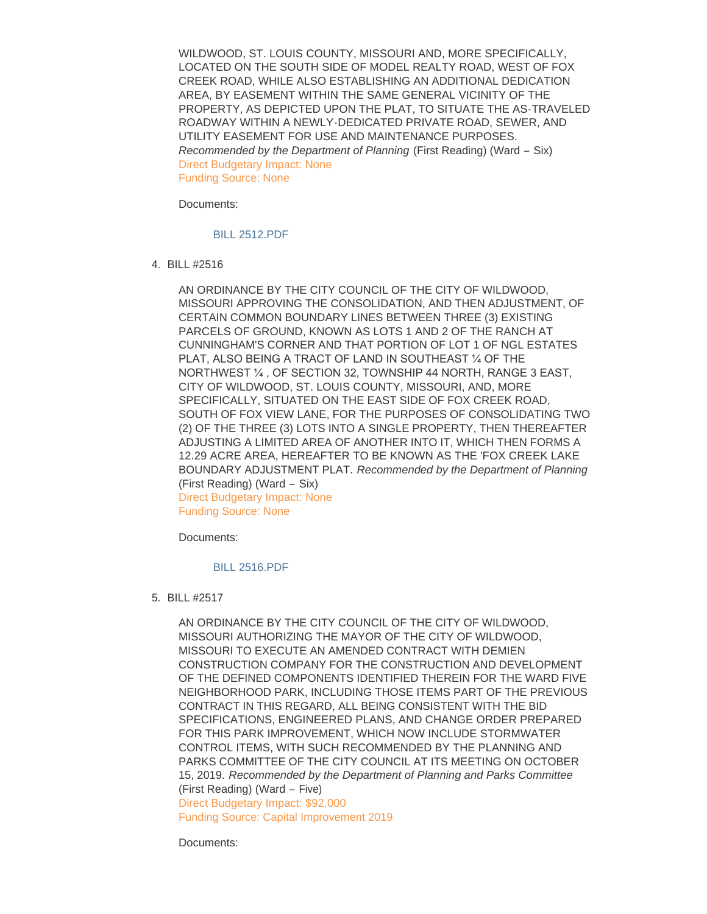WILDWOOD, ST. LOUIS COUNTY, MISSOURI AND, MORE SPECIFICALLY, LOCATED ON THE SOUTH SIDE OF MODEL REALTY ROAD, WEST OF FOX CREEK ROAD, WHILE ALSO ESTABLISHING AN ADDITIONAL DEDICATION AREA, BY EASEMENT WITHIN THE SAME GENERAL VICINITY OF THE PROPERTY, AS DEPICTED UPON THE PLAT, TO SITUATE THE AS-TRAVELED ROADWAY WITHIN A NEWLY-DEDICATED PRIVATE ROAD, SEWER, AND UTILITY EASEMENT FOR USE AND MAINTENANCE PURPOSES. *Recommended by the Department of Planning* (First Reading) (Ward – Six) Direct Budgetary Impact: None Funding Source: None

Documents:

### [BILL 2512.PDF](https://www.cityofwildwood.com/AgendaCenter/ViewFile/Item/22651?fileID=28095)

BILL #2516 4.

AN ORDINANCE BY THE CITY COUNCIL OF THE CITY OF WILDWOOD, MISSOURI APPROVING THE CONSOLIDATION, AND THEN ADJUSTMENT, OF CERTAIN COMMON BOUNDARY LINES BETWEEN THREE (3) EXISTING PARCELS OF GROUND, KNOWN AS LOTS 1 AND 2 OF THE RANCH AT CUNNINGHAM'S CORNER AND THAT PORTION OF LOT 1 OF NGL ESTATES PLAT, ALSO BEING A TRACT OF LAND IN SOUTHEAST ¼ OF THE NORTHWEST ¼ , OF SECTION 32, TOWNSHIP 44 NORTH, RANGE 3 EAST, CITY OF WILDWOOD, ST. LOUIS COUNTY, MISSOURI, AND, MORE SPECIFICALLY, SITUATED ON THE EAST SIDE OF FOX CREEK ROAD, SOUTH OF FOX VIEW LANE, FOR THE PURPOSES OF CONSOLIDATING TWO (2) OF THE THREE (3) LOTS INTO A SINGLE PROPERTY, THEN THEREAFTER ADJUSTING A LIMITED AREA OF ANOTHER INTO IT, WHICH THEN FORMS A 12.29 ACRE AREA, HEREAFTER TO BE KNOWN AS THE 'FOX CREEK LAKE BOUNDARY ADJUSTMENT PLAT. *Recommended by the Department of Planning*  (First Reading) (Ward – Six) Direct Budgetary Impact: None

Funding Source: None

Documents:

#### [BILL 2516.PDF](https://www.cityofwildwood.com/AgendaCenter/ViewFile/Item/22652?fileID=28096)

BILL #2517 5.

AN ORDINANCE BY THE CITY COUNCIL OF THE CITY OF WILDWOOD, MISSOURI AUTHORIZING THE MAYOR OF THE CITY OF WILDWOOD, MISSOURI TO EXECUTE AN AMENDED CONTRACT WITH DEMIEN CONSTRUCTION COMPANY FOR THE CONSTRUCTION AND DEVELOPMENT OF THE DEFINED COMPONENTS IDENTIFIED THEREIN FOR THE WARD FIVE NEIGHBORHOOD PARK, INCLUDING THOSE ITEMS PART OF THE PREVIOUS CONTRACT IN THIS REGARD, ALL BEING CONSISTENT WITH THE BID SPECIFICATIONS, ENGINEERED PLANS, AND CHANGE ORDER PREPARED FOR THIS PARK IMPROVEMENT, WHICH NOW INCLUDE STORMWATER CONTROL ITEMS, WITH SUCH RECOMMENDED BY THE PLANNING AND PARKS COMMITTEE OF THE CITY COUNCIL AT ITS MEETING ON OCTOBER 15, 2019. *Recommended by the Department of Planning and Parks Committee*  (First Reading) (Ward – Five)

Direct Budgetary Impact: \$92,000 Funding Source: Capital Improvement 2019

Documents: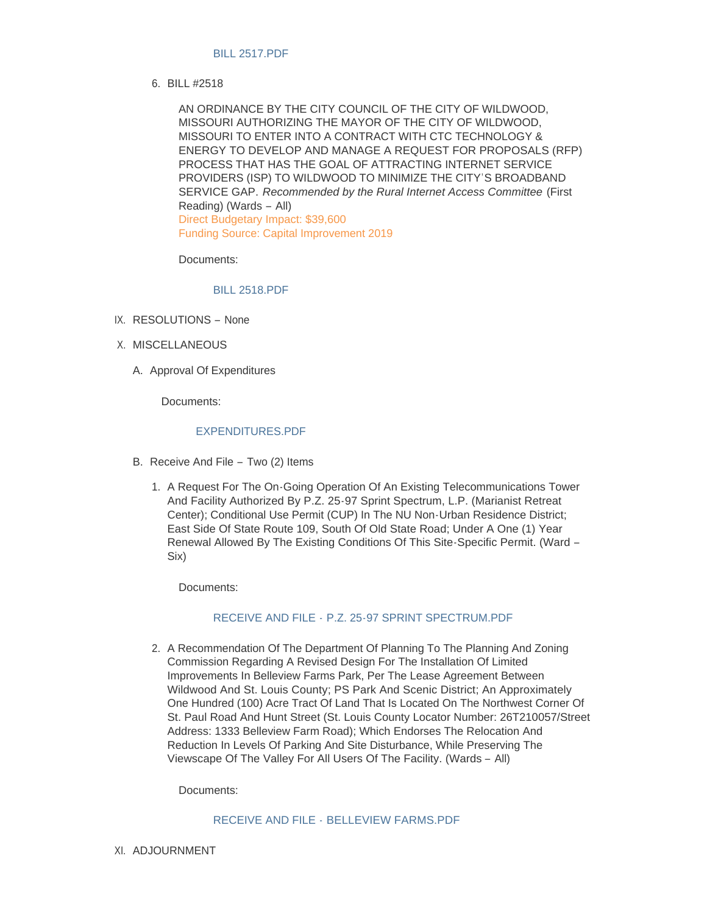### [BILL 2517.PDF](https://www.cityofwildwood.com/AgendaCenter/ViewFile/Item/22653?fileID=28097)

BILL #2518 6.

AN ORDINANCE BY THE CITY COUNCIL OF THE CITY OF WILDWOOD, MISSOURI AUTHORIZING THE MAYOR OF THE CITY OF WILDWOOD, MISSOURI TO ENTER INTO A CONTRACT WITH CTC TECHNOLOGY & ENERGY TO DEVELOP AND MANAGE A REQUEST FOR PROPOSALS (RFP) PROCESS THAT HAS THE GOAL OF ATTRACTING INTERNET SERVICE PROVIDERS (ISP) TO WILDWOOD TO MINIMIZE THE CITY'S BROADBAND SERVICE GAP. *Recommended by the Rural Internet Access Committee* (First Reading) (Wards – All) Direct Budgetary Impact: \$39,600 Funding Source: Capital Improvement 2019

Documents:

[BILL 2518.PDF](https://www.cityofwildwood.com/AgendaCenter/ViewFile/Item/22683?fileID=28114)

- IX. RESOLUTIONS None
- X. MISCELLANEOUS
	- A. Approval Of Expenditures

Documents:

# [EXPENDITURES.PDF](https://www.cityofwildwood.com/AgendaCenter/ViewFile/Item/22681?fileID=28112)

- B. Receive And File Two (2) Items
	- 1. A Request For The On-Going Operation Of An Existing Telecommunications Tower And Facility Authorized By P.Z. 25-97 Sprint Spectrum, L.P. (Marianist Retreat Center); Conditional Use Permit (CUP) In The NU Non-Urban Residence District; East Side Of State Route 109, South Of Old State Road; Under A One (1) Year Renewal Allowed By The Existing Conditions Of This Site-Specific Permit. (Ward – Six)

Documents:

## RECEIVE AND FILE - [P.Z. 25-97 SPRINT SPECTRUM.PDF](https://www.cityofwildwood.com/AgendaCenter/ViewFile/Item/22654?fileID=28098)

2. A Recommendation Of The Department Of Planning To The Planning And Zoning Commission Regarding A Revised Design For The Installation Of Limited Improvements In Belleview Farms Park, Per The Lease Agreement Between Wildwood And St. Louis County; PS Park And Scenic District; An Approximately One Hundred (100) Acre Tract Of Land That Is Located On The Northwest Corner Of St. Paul Road And Hunt Street (St. Louis County Locator Number: 26T210057/Street Address: 1333 Belleview Farm Road); Which Endorses The Relocation And Reduction In Levels Of Parking And Site Disturbance, While Preserving The Viewscape Of The Valley For All Users Of The Facility. (Wards – All)

Documents:

RECEIVE AND FILE - [BELLEVIEW FARMS.PDF](https://www.cityofwildwood.com/AgendaCenter/ViewFile/Item/22655?fileID=28099)